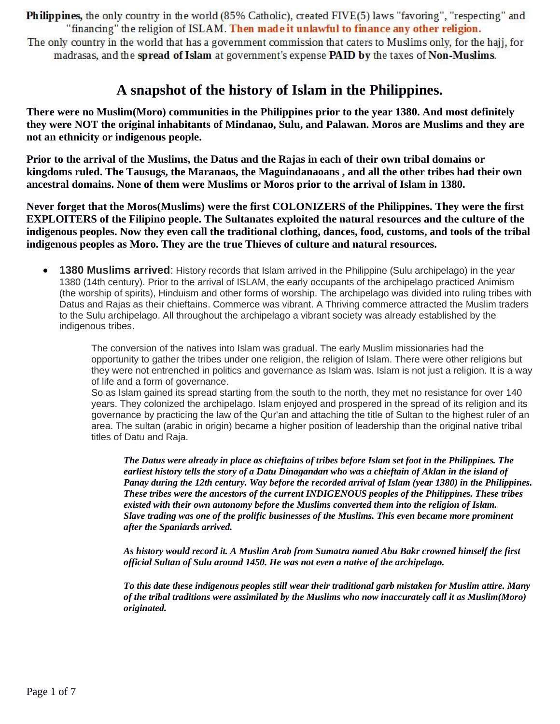Philippines, the only country in the world (85% Catholic), created FIVE(5) laws "favoring", "respecting" and "financing" the religion of ISLAM. Then made it unlawful to finance any other religion. The only country in the world that has a government commission that caters to Muslims only, for the hajj, for madrasas, and the spread of Islam at government's expense PAID by the taxes of Non-Muslims.

# A snapshot of the history of Islam in the Philippines.

There were no Muslim(Moro) communities in the Philippines prior to the year 1380. And most definitely they were NOT the original inhabitants of Mindanao, Sulu, and Palawan. Moros are Muslims and they are not an ethnicity or indigenous people.

Prior to the arrival of the Muslims, the Datus and the Rajas in each of their own tribal domains or kingdoms ruled. The Tausugs, the Maranaos, the Maguindanaoans , and all the other tribes had their own ancestral domains. None of them were Muslims or Moros prior to the arrival of Islam in 1380.

Never forget that the Moros(Muslims) were the first COLONIZERS of the Philippines. They were the first EXPLOITERS of the Filipino people. The Sultanates exploited the natural resources and the culture of the indigenous peoples. Now they even call the traditional clothing, dances, food, customs, and tools of the tribal indigenous peoples as Moro. They are the true Thieves of culture and natural resources.

• 1380 Muslims arrived: History records that Islam arrived in the Philippine (Sulu archipelago) in the year 1380 (14th century). Prior to the arrival of ISLAM, the early occupants of the archipelago practiced Animism (the worship of spirits), Hinduism and other forms of worship. The archipelago was divided into ruling tribes with Datus and Rajas as their chieftains. Commerce was vibrant. A Thriving commerce attracted the Muslim traders to the Sulu archipelago. All throughout the archipelago a vibrant society was already established by the indigenous tribes.

The conversion of the natives into Islam was gradual. The early Muslim missionaries had the opportunity to gather the tribes under one religion, the religion of Islam. There were other religions but they were not entrenched in politics and governance as Islam was. Islam is not just a religion. It is a way of life and a form of governance.

So as Islam gained its spread starting from the south to the north, they met no resistance for over 140 years. They colonized the archipelago. Islam enjoyed and prospered in the spread of its religion and its governance by practicing the law of the Qur'an and attaching the title of Sultan to the highest ruler of an area. The sultan (arabic in origin) became a higher position of leadership than the original native tribal titles of Datu and Raja.

The Datus were already in place as chieftains of tribes before Islam set foot in the Philippines. The earliest history tells the story of a Datu Dinagandan who was a chieftain of Aklan in the island of Panay during the 12th century. Way before the recorded arrival of Islam (year 1380) in the Philippines. These tribes were the ancestors of the current INDIGENOUS peoples of the Philippines. These tribes existed with their own autonomy before the Muslims converted them into the religion of Islam. Slave trading was one of the prolific businesses of the Muslims. This even became more prominent after the Spaniards arrived.

As history would record it. A Muslim Arab from Sumatra named Abu Bakr crowned himself the first official Sultan of Sulu around 1450. He was not even a native of the archipelago.

To this date these indigenous peoples still wear their traditional garb mistaken for Muslim attire. Many of the tribal traditions were assimilated by the Muslims who now inaccurately call it as Muslim(Moro) originated.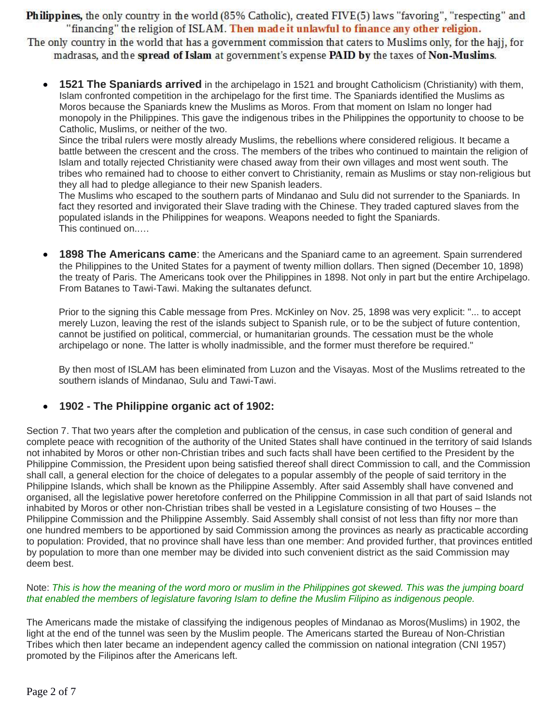The only country in the world that has a government commission that caters to Muslims only, for the hajj, for madrasas, and the spread of Islam at government's expense PAID by the taxes of Non-Muslims.

**1521 The Spaniards arrived** in the archipelago in 1521 and brought Catholicism (Christianity) with them, Islam confronted competition in the archipelago for the first time. The Spaniards identified the Muslims as Moros because the Spaniards knew the Muslims as Moros. From that moment on Islam no longer had monopoly in the Philippines. This gave the indigenous tribes in the Philippines the opportunity to choose to be Catholic, Muslims, or neither of the two.

Since the tribal rulers were mostly already Muslims, the rebellions where considered religious. It became a battle between the crescent and the cross. The members of the tribes who continued to maintain the religion of Islam and totally rejected Christianity were chased away from their own villages and most went south. The tribes who remained had to choose to either convert to Christianity, remain as Muslims or stay non-religious but they all had to pledge allegiance to their new Spanish leaders.

The Muslims who escaped to the southern parts of Mindanao and Sulu did not surrender to the Spaniards. In fact they resorted and invigorated their Slave trading with the Chinese. They traded captured slaves from the populated islands in the Philippines for weapons. Weapons needed to fight the Spaniards. This continued on..…

**1898 The Americans came:** the Americans and the Spaniard came to an agreement. Spain surrendered the Philippines to the United States for a payment of twenty million dollars. Then signed (December 10, 1898) the treaty of Paris. The Americans took over the Philippines in 1898. Not only in part but the entire Archipelago. From Batanes to Tawi-Tawi. Making the sultanates defunct.

Prior to the signing this Cable message from Pres. McKinley on Nov. 25, 1898 was very explicit: "... to accept merely Luzon, leaving the rest of the islands subject to Spanish rule, or to be the subject of future contention, cannot be justified on political, commercial, or humanitarian grounds. The cessation must be the whole archipelago or none. The latter is wholly inadmissible, and the former must therefore be required."

By then most of ISLAM has been eliminated from Luzon and the Visayas. Most of the Muslims retreated to the southern islands of Mindanao, Sulu and Tawi-Tawi.

## 1902 - The Philippine organic act of 1902:

Section 7. That two years after the completion and publication of the census, in case such condition of general and complete peace with recognition of the authority of the United States shall have continued in the territory of said Islands not inhabited by Moros or other non-Christian tribes and such facts shall have been certified to the President by the Philippine Commission, the President upon being satisfied thereof shall direct Commission to call, and the Commission shall call, a general election for the choice of delegates to a popular assembly of the people of said territory in the Philippine Islands, which shall be known as the Philippine Assembly. After said Assembly shall have convened and organised, all the legislative power heretofore conferred on the Philippine Commission in all that part of said Islands not inhabited by Moros or other non-Christian tribes shall be vested in a Legislature consisting of two Houses – the Philippine Commission and the Philippine Assembly. Said Assembly shall consist of not less than fifty nor more than one hundred members to be apportioned by said Commission among the provinces as nearly as practicable according to population: Provided, that no province shall have less than one member: And provided further, that provinces entitled by population to more than one member may be divided into such convenient district as the said Commission may deem best.

### Note: This is how the meaning of the word moro or muslim in the Philippines got skewed. This was the jumping board that enabled the members of legislature favoring Islam to define the Muslim Filipino as indigenous people.

The Americans made the mistake of classifying the indigenous peoples of Mindanao as Moros(Muslims) in 1902, the light at the end of the tunnel was seen by the Muslim people. The Americans started the Bureau of Non-Christian Tribes which then later became an independent agency called the commission on national integration (CNI 1957) promoted by the Filipinos after the Americans left.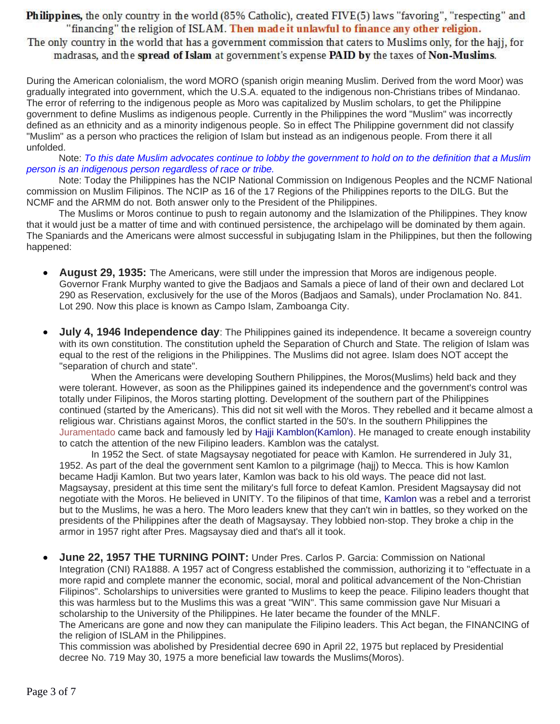The only country in the world that has a government commission that caters to Muslims only, for the hajj, for madrasas, and the spread of Islam at government's expense PAID by the taxes of Non-Muslims.

During the American colonialism, the word MORO (spanish origin meaning Muslim. Derived from the word Moor) was gradually integrated into government, which the U.S.A. equated to the indigenous non-Christians tribes of Mindanao. The error of referring to the indigenous people as Moro was capitalized by Muslim scholars, to get the Philippine government to define Muslims as indigenous people. Currently in the Philippines the word "Muslim" was incorrectly defined as an ethnicity and as a minority indigenous people. So in effect The Philippine government did not classify "Muslim" as a person who practices the religion of Islam but instead as an indigenous people. From there it all unfolded.

Note: To this date Muslim advocates continue to lobby the government to hold on to the definition that a Muslim person is an indigenous person regardless of race or tribe.

Note: Today the Philippines has the NCIP National Commission on Indigenous Peoples and the NCMF National commission on Muslim Filipinos. The NCIP as 16 of the 17 Regions of the Philippines reports to the DILG. But the NCMF and the ARMM do not. Both answer only to the President of the Philippines.

The Muslims or Moros continue to push to regain autonomy and the Islamization of the Philippines. They know that it would just be a matter of time and with continued persistence, the archipelago will be dominated by them again. The Spaniards and the Americans were almost successful in subjugating Islam in the Philippines, but then the following happened:

- August 29, 1935: The Americans, were still under the impression that Moros are indigenous people. Governor Frank Murphy wanted to give the Badjaos and Samals a piece of land of their own and declared Lot 290 as Reservation, exclusively for the use of the Moros (Badjaos and Samals), under Proclamation No. 841. Lot 290. Now this place is known as Campo Islam, Zamboanga City.
- **July 4, 1946 Independence day**: The Philippines gained its independence. It became a sovereign country with its own constitution. The constitution upheld the Separation of Church and State. The religion of Islam was equal to the rest of the religions in the Philippines. The Muslims did not agree. Islam does NOT accept the "separation of church and state".

When the Americans were developing Southern Philippines, the Moros(Muslims) held back and they were tolerant. However, as soon as the Philippines gained its independence and the government's control was totally under Filipinos, the Moros starting plotting. Development of the southern part of the Philippines continued (started by the Americans). This did not sit well with the Moros. They rebelled and it became almost a religious war. Christians against Moros, the conflict started in the 50's. In the southern Philippines the Juramentado came back and famously led by Hajji Kamblon(Kamlon). He managed to create enough instability to catch the attention of the new Filipino leaders. Kamblon was the catalyst.

In 1952 the Sect. of state Magsaysay negotiated for peace with Kamlon. He surrendered in July 31, 1952. As part of the deal the government sent Kamlon to a pilgrimage (hajj) to Mecca. This is how Kamlon became Hadji Kamlon. But two years later, Kamlon was back to his old ways. The peace did not last. Magsaysay, president at this time sent the military's full force to defeat Kamlon. President Magsaysay did not negotiate with the Moros. He believed in UNITY. To the filipinos of that time, Kamlon was a rebel and a terrorist but to the Muslims, he was a hero. The Moro leaders knew that they can't win in battles, so they worked on the presidents of the Philippines after the death of Magsaysay. They lobbied non-stop. They broke a chip in the armor in 1957 right after Pres. Magsaysay died and that's all it took.

June 22, 1957 THE TURNING POINT: Under Pres. Carlos P. Garcia: Commission on National Integration (CNI) RA1888. A 1957 act of Congress established the commission, authorizing it to "effectuate in a more rapid and complete manner the economic, social, moral and political advancement of the Non-Christian Filipinos". Scholarships to universities were granted to Muslims to keep the peace. Filipino leaders thought that this was harmless but to the Muslims this was a great "WIN". This same commission gave Nur Misuari a scholarship to the University of the Philippines. He later became the founder of the MNLF. The Americans are gone and now they can manipulate the Filipino leaders. This Act began, the FINANCING of the religion of ISLAM in the Philippines.

This commission was abolished by Presidential decree 690 in April 22, 1975 but replaced by Presidential decree No. 719 May 30, 1975 a more beneficial law towards the Muslims(Moros).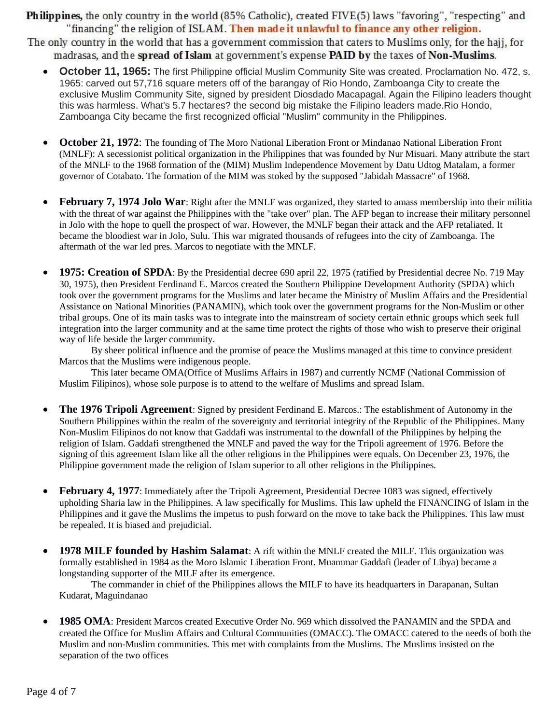The only country in the world that has a government commission that caters to Muslims only, for the hajj, for madrasas, and the spread of Islam at government's expense PAID by the taxes of Non-Muslims.

- October 11, 1965: The first Philippine official Muslim Community Site was created. Proclamation No. 472, s. 1965: carved out 57,716 square meters off of the barangay of Rio Hondo, Zamboanga City to create the exclusive Muslim Community Site, signed by president Diosdado Macapagal. Again the Filipino leaders thought this was harmless. What's 5.7 hectares? the second big mistake the Filipino leaders made.Rio Hondo, Zamboanga City became the first recognized official "Muslim" community in the Philippines.
- October 21, 1972: The founding of The Moro National Liberation Front or Mindanao National Liberation Front (MNLF): A secessionist political organization in the Philippines that was founded by Nur Misuari. Many attribute the start of the MNLF to the 1968 formation of the (MIM) Muslim Independence Movement by Datu Udtog Matalam, a former governor of Cotabato. The formation of the MIM was stoked by the supposed "Jabidah Massacre" of 1968.
- February 7, 1974 Jolo War: Right after the MNLF was organized, they started to amass membership into their militia with the threat of war against the Philippines with the "take over" plan. The AFP began to increase their military personnel in Jolo with the hope to quell the prospect of war. However, the MNLF began their attack and the AFP retaliated. It became the bloodiest war in Jolo, Sulu. This war migrated thousands of refugees into the city of Zamboanga. The aftermath of the war led pres. Marcos to negotiate with the MNLF.
- 1975: Creation of SPDA: By the Presidential decree 690 april 22, 1975 (ratified by Presidential decree No. 719 May 30, 1975), then President Ferdinand E. Marcos created the Southern Philippine Development Authority (SPDA) which took over the government programs for the Muslims and later became the Ministry of Muslim Affairs and the Presidential Assistance on National Minorities (PANAMIN), which took over the government programs for the Non-Muslim or other tribal groups. One of its main tasks was to integrate into the mainstream of society certain ethnic groups which seek full integration into the larger community and at the same time protect the rights of those who wish to preserve their original way of life beside the larger community.

By sheer political influence and the promise of peace the Muslims managed at this time to convince president Marcos that the Muslims were indigenous people.

This later became OMA(Office of Muslims Affairs in 1987) and currently NCMF (National Commission of Muslim Filipinos), whose sole purpose is to attend to the welfare of Muslims and spread Islam.

- The 1976 Tripoli Agreement: Signed by president Ferdinand E. Marcos.: The establishment of Autonomy in the Southern Philippines within the realm of the sovereignty and territorial integrity of the Republic of the Philippines. Many Non-Muslim Filipinos do not know that Gaddafi was instrumental to the downfall of the Philippines by helping the religion of Islam. Gaddafi strengthened the MNLF and paved the way for the Tripoli agreement of 1976. Before the signing of this agreement Islam like all the other religions in the Philippines were equals. On December 23, 1976, the Philippine government made the religion of Islam superior to all other religions in the Philippines.
- February 4, 1977: Immediately after the Tripoli Agreement, Presidential Decree 1083 was signed, effectively upholding Sharia law in the Philippines. A law specifically for Muslims. This law upheld the FINANCING of Islam in the Philippines and it gave the Muslims the impetus to push forward on the move to take back the Philippines. This law must be repealed. It is biased and prejudicial.
- 1978 MILF founded by Hashim Salamat: A rift within the MNLF created the MILF. This organization was formally established in 1984 as the Moro Islamic Liberation Front. Muammar Gaddafi (leader of Libya) became a longstanding supporter of the MILF after its emergence.

The commander in chief of the Philippines allows the MILF to have its headquarters in Darapanan, Sultan Kudarat, Maguindanao

 1985 OMA: President Marcos created Executive Order No. 969 which dissolved the PANAMIN and the SPDA and created the Office for Muslim Affairs and Cultural Communities (OMACC). The OMACC catered to the needs of both the Muslim and non-Muslim communities. This met with complaints from the Muslims. The Muslims insisted on the separation of the two offices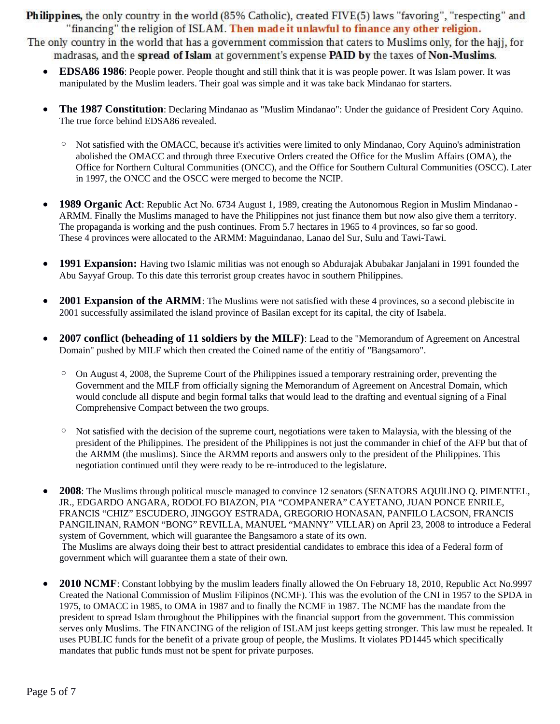The only country in the world that has a government commission that caters to Muslims only, for the hajj, for madrasas, and the spread of Islam at government's expense PAID by the taxes of Non-Muslims.

- EDSA86 1986: People power. People thought and still think that it is was people power. It was Islam power. It was manipulated by the Muslim leaders. Their goal was simple and it was take back Mindanao for starters.
- The 1987 Constitution: Declaring Mindanao as "Muslim Mindanao": Under the guidance of President Cory Aquino. The true force behind EDSA86 revealed.
	- Not satisfied with the OMACC, because it's activities were limited to only Mindanao, Cory Aquino's administration abolished the OMACC and through three Executive Orders created the Office for the Muslim Affairs (OMA), the Office for Northern Cultural Communities (ONCC), and the Office for Southern Cultural Communities (OSCC). Later in 1997, the ONCC and the OSCC were merged to become the NCIP.
- 1989 Organic Act: Republic Act No. 6734 August 1, 1989, creating the Autonomous Region in Muslim Mindanao -ARMM. Finally the Muslims managed to have the Philippines not just finance them but now also give them a territory. The propaganda is working and the push continues. From 5.7 hectares in 1965 to 4 provinces, so far so good. These 4 provinces were allocated to the ARMM: Maguindanao, Lanao del Sur, Sulu and Tawi-Tawi.
- 1991 Expansion: Having two Islamic militias was not enough so Abdurajak Abubakar Janjalani in 1991 founded the Abu Sayyaf Group. To this date this terrorist group creates havoc in southern Philippines.
- 2001 Expansion of the ARMM: The Muslims were not satisfied with these 4 provinces, so a second plebiscite in 2001 successfully assimilated the island province of Basilan except for its capital, the city of Isabela.
- 2007 conflict (beheading of 11 soldiers by the MILF): Lead to the "Memorandum of Agreement on Ancestral Domain" pushed by MILF which then created the Coined name of the entitiy of "Bangsamoro".
	- $\circ$  On August 4, 2008, the Supreme Court of the Philippines issued a temporary restraining order, preventing the Government and the MILF from officially signing the Memorandum of Agreement on Ancestral Domain, which would conclude all dispute and begin formal talks that would lead to the drafting and eventual signing of a Final Comprehensive Compact between the two groups.
	- Not satisfied with the decision of the supreme court, negotiations were taken to Malaysia, with the blessing of the president of the Philippines. The president of the Philippines is not just the commander in chief of the AFP but that of the ARMM (the muslims). Since the ARMM reports and answers only to the president of the Philippines. This negotiation continued until they were ready to be re-introduced to the legislature.
- 2008: The Muslims through political muscle managed to convince 12 senators (SENATORS AQUlLlNO Q. PIMENTEL, JR., EDGARDO ANGARA, RODOLFO BIAZON, PIA "COMPANERA" CAYETANO, JUAN PONCE ENRILE, FRANCIS "CHIZ" ESCUDERO, JINGGOY ESTRADA, GREGORlO HONASAN, PANFILO LACSON, FRANCIS PANGILINAN, RAMON "BONG" REVILLA, MANUEL "MANNY" VILLAR) on April 23, 2008 to introduce a Federal system of Government, which will guarantee the Bangsamoro a state of its own. The Muslims are always doing their best to attract presidential candidates to embrace this idea of a Federal form of government which will guarantee them a state of their own.
- 2010 NCMF: Constant lobbying by the muslim leaders finally allowed the On February 18, 2010, Republic Act No.9997 Created the National Commission of Muslim Filipinos (NCMF). This was the evolution of the CNI in 1957 to the SPDA in 1975, to OMACC in 1985, to OMA in 1987 and to finally the NCMF in 1987. The NCMF has the mandate from the president to spread Islam throughout the Philippines with the financial support from the government. This commission serves only Muslims. The FINANCING of the religion of ISLAM just keeps getting stronger. This law must be repealed. It uses PUBLIC funds for the benefit of a private group of people, the Muslims. It violates PD1445 which specifically mandates that public funds must not be spent for private purposes.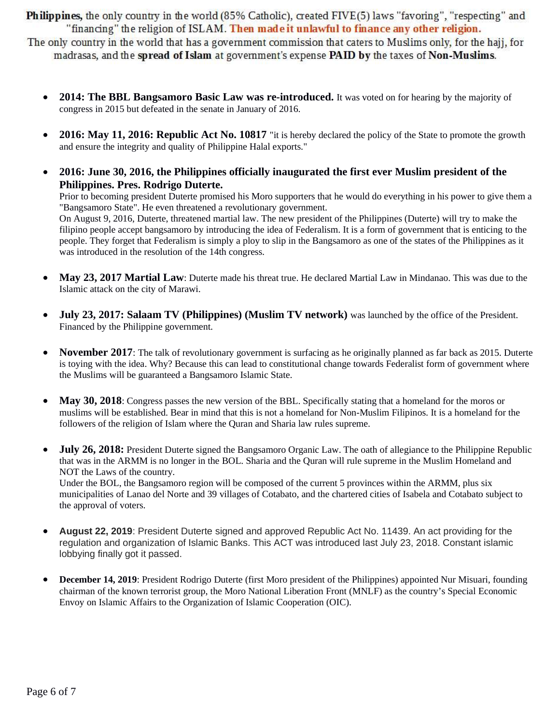The only country in the world that has a government commission that caters to Muslims only, for the hajj, for madrasas, and the spread of Islam at government's expense PAID by the taxes of Non-Muslims.

- 2014: The BBL Bangsamoro Basic Law was re-introduced. It was voted on for hearing by the majority of congress in 2015 but defeated in the senate in January of 2016.
- 2016: May 11, 2016: Republic Act No. 10817 "it is hereby declared the policy of the State to promote the growth and ensure the integrity and quality of Philippine Halal exports."
- 2016: June 30, 2016, the Philippines officially inaugurated the first ever Muslim president of the Philippines. Pres. Rodrigo Duterte.

Prior to becoming president Duterte promised his Moro supporters that he would do everything in his power to give them a "Bangsamoro State". He even threatened a revolutionary government.

On August 9, 2016, Duterte, threatened martial law. The new president of the Philippines (Duterte) will try to make the filipino people accept bangsamoro by introducing the idea of Federalism. It is a form of government that is enticing to the people. They forget that Federalism is simply a ploy to slip in the Bangsamoro as one of the states of the Philippines as it was introduced in the resolution of the 14th congress.

- May 23, 2017 Martial Law: Duterte made his threat true. He declared Martial Law in Mindanao. This was due to the Islamic attack on the city of Marawi.
- July 23, 2017: Salaam TV (Philippines) (Muslim TV network) was launched by the office of the President. Financed by the Philippine government.
- November 2017: The talk of revolutionary government is surfacing as he originally planned as far back as 2015. Duterte is toying with the idea. Why? Because this can lead to constitutional change towards Federalist form of government where the Muslims will be guaranteed a Bangsamoro Islamic State.
- May 30, 2018: Congress passes the new version of the BBL. Specifically stating that a homeland for the moros or muslims will be established. Bear in mind that this is not a homeland for Non-Muslim Filipinos. It is a homeland for the followers of the religion of Islam where the Quran and Sharia law rules supreme.
- July 26, 2018: President Duterte signed the Bangsamoro Organic Law. The oath of allegiance to the Philippine Republic that was in the ARMM is no longer in the BOL. Sharia and the Quran will rule supreme in the Muslim Homeland and NOT the Laws of the country. Under the BOL, the Bangsamoro region will be composed of the current 5 provinces within the ARMM, plus six

municipalities of Lanao del Norte and 39 villages of Cotabato, and the chartered cities of Isabela and Cotabato subject to the approval of voters.

- August 22, 2019: President Duterte signed and approved Republic Act No. 11439. An act providing for the regulation and organization of Islamic Banks. This ACT was introduced last July 23, 2018. Constant islamic lobbying finally got it passed.
- December 14, 2019: President Rodrigo Duterte (first Moro president of the Philippines) appointed Nur Misuari, founding chairman of the known terrorist group, the Moro National Liberation Front (MNLF) as the country's Special Economic Envoy on Islamic Affairs to the Organization of Islamic Cooperation (OIC).